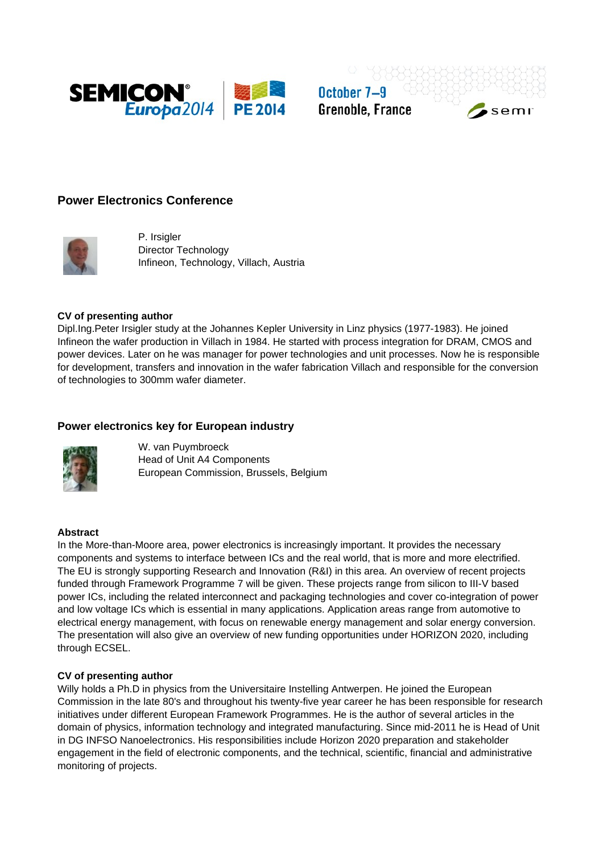

October 7-9 **Grenoble, France** 

semi

# **Power Electronics Conference**



P. Irsigler Director Technology Infineon, Technology, Villach, Austria

#### **CV of presenting author**

Dipl.Ing.Peter Irsigler study at the Johannes Kepler University in Linz physics (1977-1983). He joined Infineon the wafer production in Villach in 1984. He started with process integration for DRAM, CMOS and power devices. Later on he was manager for power technologies and unit processes. Now he is responsible for development, transfers and innovation in the wafer fabrication Villach and responsible for the conversion of technologies to 300mm wafer diameter.

## **Power electronics key for European industry**



W. van Puymbroeck Head of Unit A4 Components European Commission, Brussels, Belgium

#### **Abstract**

In the More-than-Moore area, power electronics is increasingly important. It provides the necessary components and systems to interface between ICs and the real world, that is more and more electrified. The EU is strongly supporting Research and Innovation (R&I) in this area. An overview of recent projects funded through Framework Programme 7 will be given. These projects range from silicon to III-V based power ICs, including the related interconnect and packaging technologies and cover co-integration of power and low voltage ICs which is essential in many applications. Application areas range from automotive to electrical energy management, with focus on renewable energy management and solar energy conversion. The presentation will also give an overview of new funding opportunities under HORIZON 2020, including through ECSEL.

#### **CV of presenting author**

Willy holds a Ph.D in physics from the Universitaire Instelling Antwerpen. He joined the European Commission in the late 80's and throughout his twenty-five year career he has been responsible for research initiatives under different European Framework Programmes. He is the author of several articles in the domain of physics, information technology and integrated manufacturing. Since mid-2011 he is Head of Unit in DG INFSO Nanoelectronics. His responsibilities include Horizon 2020 preparation and stakeholder engagement in the field of electronic components, and the technical, scientific, financial and administrative monitoring of projects.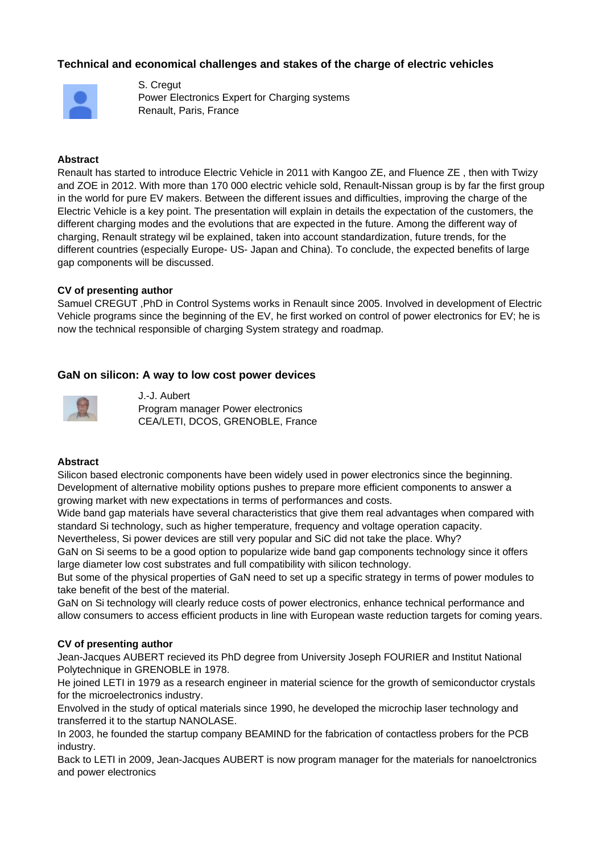# **Technical and economical challenges and stakes of the charge of electric vehicles**



S. Cregut Power Electronics Expert for Charging systems Renault, Paris, France

#### **Abstract**

Renault has started to introduce Electric Vehicle in 2011 with Kangoo ZE, and Fluence ZE , then with Twizy and ZOE in 2012. With more than 170 000 electric vehicle sold, Renault-Nissan group is by far the first group in the world for pure EV makers. Between the different issues and difficulties, improving the charge of the Electric Vehicle is a key point. The presentation will explain in details the expectation of the customers, the different charging modes and the evolutions that are expected in the future. Among the different way of charging, Renault strategy wil be explained, taken into account standardization, future trends, for the different countries (especially Europe- US- Japan and China). To conclude, the expected benefits of large gap components will be discussed.

#### **CV of presenting author**

Samuel CREGUT ,PhD in Control Systems works in Renault since 2005. Involved in development of Electric Vehicle programs since the beginning of the EV, he first worked on control of power electronics for EV; he is now the technical responsible of charging System strategy and roadmap.

## **GaN on silicon: A way to low cost power devices**



J.-J. Aubert Program manager Power electronics CEA/LETI, DCOS, GRENOBLE, France

#### **Abstract**

Silicon based electronic components have been widely used in power electronics since the beginning. Development of alternative mobility options pushes to prepare more efficient components to answer a growing market with new expectations in terms of performances and costs.

Wide band gap materials have several characteristics that give them real advantages when compared with standard Si technology, such as higher temperature, frequency and voltage operation capacity.

Nevertheless, Si power devices are still very popular and SiC did not take the place. Why?

GaN on Si seems to be a good option to popularize wide band gap components technology since it offers large diameter low cost substrates and full compatibility with silicon technology.

But some of the physical properties of GaN need to set up a specific strategy in terms of power modules to take benefit of the best of the material.

GaN on Si technology will clearly reduce costs of power electronics, enhance technical performance and allow consumers to access efficient products in line with European waste reduction targets for coming years.

#### **CV of presenting author**

Jean-Jacques AUBERT recieved its PhD degree from University Joseph FOURIER and Institut National Polytechnique in GRENOBLE in 1978.

He joined LETI in 1979 as a research engineer in material science for the growth of semiconductor crystals for the microelectronics industry.

Envolved in the study of optical materials since 1990, he developed the microchip laser technology and transferred it to the startup NANOLASE.

In 2003, he founded the startup company BEAMIND for the fabrication of contactless probers for the PCB industry.

Back to LETI in 2009, Jean-Jacques AUBERT is now program manager for the materials for nanoelctronics and power electronics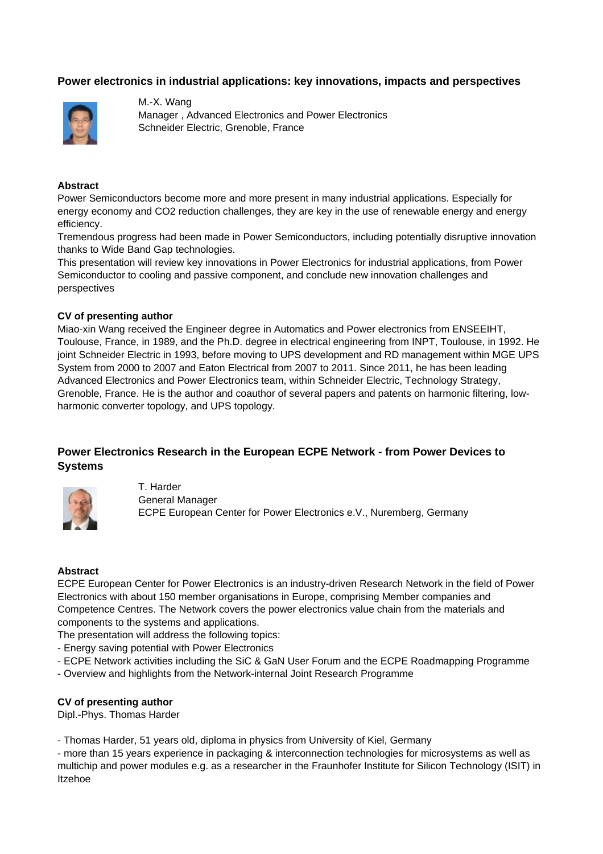# **Power electronics in industrial applications: key innovations, impacts and perspectives**



M.-X. Wang Manager , Advanced Electronics and Power Electronics Schneider Electric, Grenoble, France

#### **Abstract**

Power Semiconductors become more and more present in many industrial applications. Especially for energy economy and CO2 reduction challenges, they are key in the use of renewable energy and energy efficiency.

Tremendous progress had been made in Power Semiconductors, including potentially disruptive innovation thanks to Wide Band Gap technologies.

This presentation will review key innovations in Power Electronics for industrial applications, from Power Semiconductor to cooling and passive component, and conclude new innovation challenges and perspectives

#### **CV of presenting author**

Miao-xin Wang received the Engineer degree in Automatics and Power electronics from ENSEEIHT, Toulouse, France, in 1989, and the Ph.D. degree in electrical engineering from INPT, Toulouse, in 1992. He joint Schneider Electric in 1993, before moving to UPS development and RD management within MGE UPS System from 2000 to 2007 and Eaton Electrical from 2007 to 2011. Since 2011, he has been leading Advanced Electronics and Power Electronics team, within Schneider Electric, Technology Strategy, Grenoble, France. He is the author and coauthor of several papers and patents on harmonic filtering, lowharmonic converter topology, and UPS topology.

# **Power Electronics Research in the European ECPE Network - from Power Devices to Systems**



T. Harder General Manager ECPE European Center for Power Electronics e.V., Nuremberg, Germany

#### **Abstract**

ECPE European Center for Power Electronics is an industry-driven Research Network in the field of Power Electronics with about 150 member organisations in Europe, comprising Member companies and Competence Centres. The Network covers the power electronics value chain from the materials and components to the systems and applications.

The presentation will address the following topics:

- Energy saving potential with Power Electronics
- ECPE Network activities including the SiC & GaN User Forum and the ECPE Roadmapping Programme
- Overview and highlights from the Network-internal Joint Research Programme

#### **CV of presenting author**

Dipl.-Phys. Thomas Harder

- Thomas Harder, 51 years old, diploma in physics from University of Kiel, Germany

- more than 15 years experience in packaging & interconnection technologies for microsystems as well as multichip and power modules e.g. as a researcher in the Fraunhofer Institute for Silicon Technology (ISIT) in Itzehoe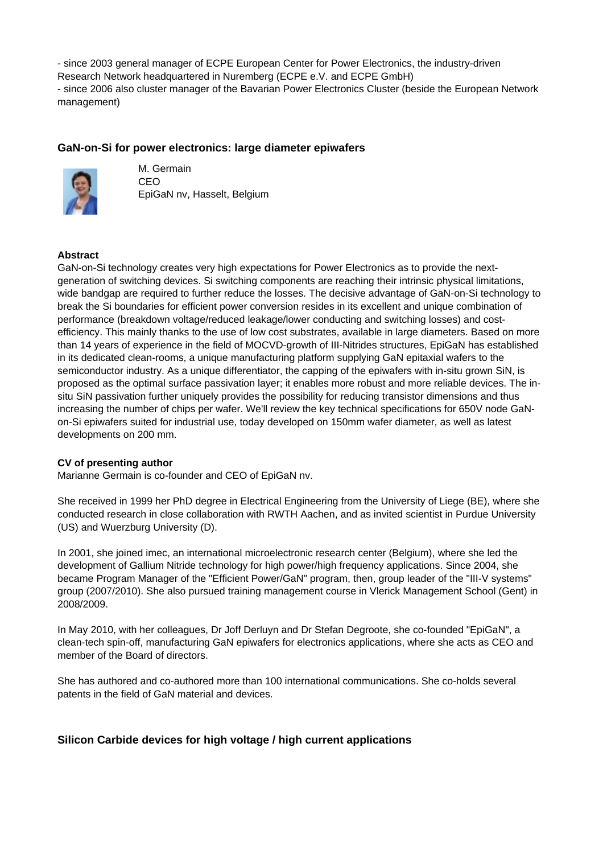- since 2003 general manager of ECPE European Center for Power Electronics, the industry-driven Research Network headquartered in Nuremberg (ECPE e.V. and ECPE GmbH) - since 2006 also cluster manager of the Bavarian Power Electronics Cluster (beside the European Network management)

# **GaN-on-Si for power electronics: large diameter epiwafers**



M. Germain CEO EpiGaN nv, Hasselt, Belgium

# **Abstract**

GaN-on-Si technology creates very high expectations for Power Electronics as to provide the nextgeneration of switching devices. Si switching components are reaching their intrinsic physical limitations, wide bandgap are required to further reduce the losses. The decisive advantage of GaN-on-Si technology to break the Si boundaries for efficient power conversion resides in its excellent and unique combination of performance (breakdown voltage/reduced leakage/lower conducting and switching losses) and costefficiency. This mainly thanks to the use of low cost substrates, available in large diameters. Based on more than 14 years of experience in the field of MOCVD-growth of III-Nitrides structures, EpiGaN has established in its dedicated clean-rooms, a unique manufacturing platform supplying GaN epitaxial wafers to the semiconductor industry. As a unique differentiator, the capping of the epiwafers with in-situ grown SiN, is proposed as the optimal surface passivation layer; it enables more robust and more reliable devices. The insitu SiN passivation further uniquely provides the possibility for reducing transistor dimensions and thus increasing the number of chips per wafer. We'll review the key technical specifications for 650V node GaNon-Si epiwafers suited for industrial use, today developed on 150mm wafer diameter, as well as latest developments on 200 mm.

## **CV of presenting author**

Marianne Germain is co-founder and CEO of EpiGaN nv.

She received in 1999 her PhD degree in Electrical Engineering from the University of Liege (BE), where she conducted research in close collaboration with RWTH Aachen, and as invited scientist in Purdue University (US) and Wuerzburg University (D).

In 2001, she joined imec, an international microelectronic research center (Belgium), where she led the development of Gallium Nitride technology for high power/high frequency applications. Since 2004, she became Program Manager of the "Efficient Power/GaN" program, then, group leader of the "III-V systems" group (2007/2010). She also pursued training management course in Vlerick Management School (Gent) in 2008/2009.

In May 2010, with her colleagues, Dr Joff Derluyn and Dr Stefan Degroote, she co-founded "EpiGaN", a clean-tech spin-off, manufacturing GaN epiwafers for electronics applications, where she acts as CEO and member of the Board of directors.

She has authored and co-authored more than 100 international communications. She co-holds several patents in the field of GaN material and devices.

## **Silicon Carbide devices for high voltage / high current applications**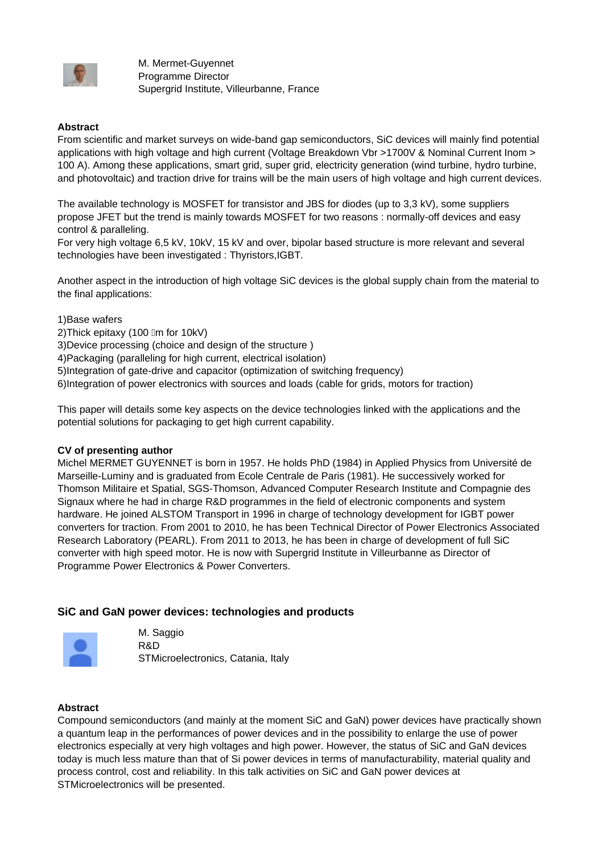

M. Mermet-Guyennet Programme Director Supergrid Institute, Villeurbanne, France

## **Abstract**

From scientific and market surveys on wide-band gap semiconductors, SiC devices will mainly find potential applications with high voltage and high current (Voltage Breakdown Vbr >1700V & Nominal Current Inom > 100 A). Among these applications, smart grid, super grid, electricity generation (wind turbine, hydro turbine, and photovoltaic) and traction drive for trains will be the main users of high voltage and high current devices.

The available technology is MOSFET for transistor and JBS for diodes (up to 3,3 kV), some suppliers propose JFET but the trend is mainly towards MOSFET for two reasons : normally-off devices and easy control & paralleling.

For very high voltage 6,5 kV, 10kV, 15 kV and over, bipolar based structure is more relevant and several technologies have been investigated : Thyristors,IGBT.

Another aspect in the introduction of high voltage SiC devices is the global supply chain from the material to the final applications:

1)Base wafers

2) Thick epitaxy (100 Im for 10kV)

3)Device processing (choice and design of the structure )

4)Packaging (paralleling for high current, electrical isolation)

5)Integration of gate-drive and capacitor (optimization of switching frequency)

6)Integration of power electronics with sources and loads (cable for grids, motors for traction)

This paper will details some key aspects on the device technologies linked with the applications and the potential solutions for packaging to get high current capability.

## **CV of presenting author**

Michel MERMET GUYENNET is born in 1957. He holds PhD (1984) in Applied Physics from Université de Marseille-Luminy and is graduated from Ecole Centrale de Paris (1981). He successively worked for Thomson Militaire et Spatial, SGS-Thomson, Advanced Computer Research Institute and Compagnie des Signaux where he had in charge R&D programmes in the field of electronic components and system hardware. He joined ALSTOM Transport in 1996 in charge of technology development for IGBT power converters for traction. From 2001 to 2010, he has been Technical Director of Power Electronics Associated Research Laboratory (PEARL). From 2011 to 2013, he has been in charge of development of full SiC converter with high speed motor. He is now with Supergrid Institute in Villeurbanne as Director of Programme Power Electronics & Power Converters.

## **SiC and GaN power devices: technologies and products**



M. Saggio R&D STMicroelectronics, Catania, Italy

## **Abstract**

Compound semiconductors (and mainly at the moment SiC and GaN) power devices have practically shown a quantum leap in the performances of power devices and in the possibility to enlarge the use of power electronics especially at very high voltages and high power. However, the status of SiC and GaN devices today is much less mature than that of Si power devices in terms of manufacturability, material quality and process control, cost and reliability. In this talk activities on SiC and GaN power devices at STMicroelectronics will be presented.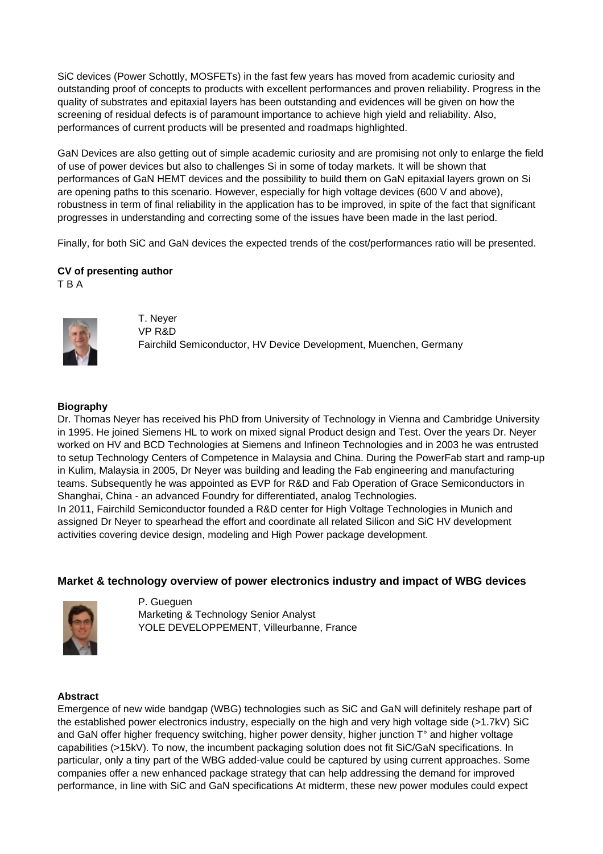SiC devices (Power Schottly, MOSFETs) in the fast few years has moved from academic curiosity and outstanding proof of concepts to products with excellent performances and proven reliability. Progress in the quality of substrates and epitaxial layers has been outstanding and evidences will be given on how the screening of residual defects is of paramount importance to achieve high yield and reliability. Also, performances of current products will be presented and roadmaps highlighted.

GaN Devices are also getting out of simple academic curiosity and are promising not only to enlarge the field of use of power devices but also to challenges Si in some of today markets. It will be shown that performances of GaN HEMT devices and the possibility to build them on GaN epitaxial layers grown on Si are opening paths to this scenario. However, especially for high voltage devices (600 V and above), robustness in term of final reliability in the application has to be improved, in spite of the fact that significant progresses in understanding and correcting some of the issues have been made in the last period.

Finally, for both SiC and GaN devices the expected trends of the cost/performances ratio will be presented.

# **CV of presenting author**

T B A



T. Neyer VP R&D Fairchild Semiconductor, HV Device Development, Muenchen, Germany

# **Biography**

Dr. Thomas Neyer has received his PhD from University of Technology in Vienna and Cambridge University in 1995. He joined Siemens HL to work on mixed signal Product design and Test. Over the years Dr. Neyer worked on HV and BCD Technologies at Siemens and Infineon Technologies and in 2003 he was entrusted to setup Technology Centers of Competence in Malaysia and China. During the PowerFab start and ramp-up in Kulim, Malaysia in 2005, Dr Neyer was building and leading the Fab engineering and manufacturing teams. Subsequently he was appointed as EVP for R&D and Fab Operation of Grace Semiconductors in Shanghai, China - an advanced Foundry for differentiated, analog Technologies. In 2011, Fairchild Semiconductor founded a R&D center for High Voltage Technologies in Munich and assigned Dr Neyer to spearhead the effort and coordinate all related Silicon and SiC HV development

# **Market & technology overview of power electronics industry and impact of WBG devices**



P. Gueguen Marketing & Technology Senior Analyst YOLE DEVELOPPEMENT, Villeurbanne, France

activities covering device design, modeling and High Power package development.

## **Abstract**

Emergence of new wide bandgap (WBG) technologies such as SiC and GaN will definitely reshape part of the established power electronics industry, especially on the high and very high voltage side (>1.7kV) SiC and GaN offer higher frequency switching, higher power density, higher junction T° and higher voltage capabilities (>15kV). To now, the incumbent packaging solution does not fit SiC/GaN specifications. In particular, only a tiny part of the WBG added-value could be captured by using current approaches. Some companies offer a new enhanced package strategy that can help addressing the demand for improved performance, in line with SiC and GaN specifications At midterm, these new power modules could expect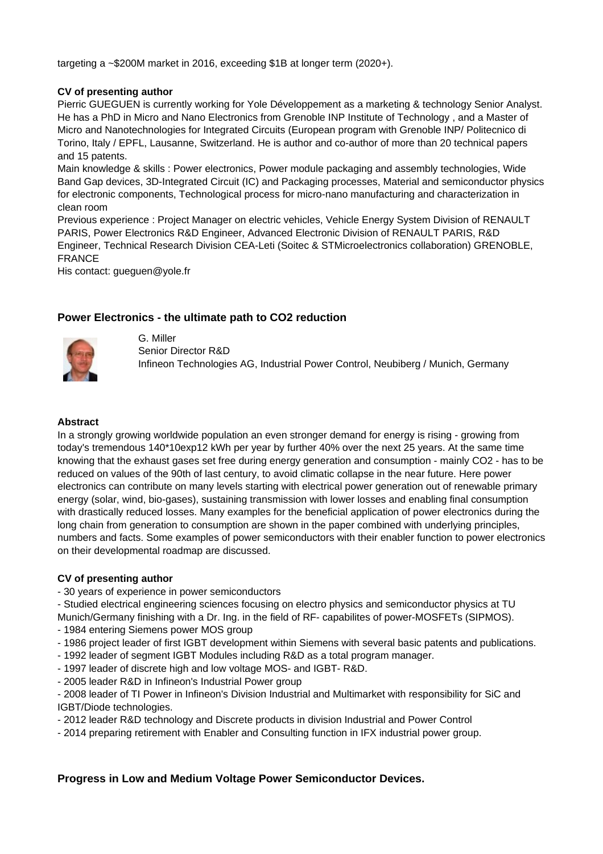targeting a ~\$200M market in 2016, exceeding \$1B at longer term (2020+).

## **CV of presenting author**

Pierric GUEGUEN is currently working for Yole Développement as a marketing & technology Senior Analyst. He has a PhD in Micro and Nano Electronics from Grenoble INP Institute of Technology , and a Master of Micro and Nanotechnologies for Integrated Circuits (European program with Grenoble INP/ Politecnico di Torino, Italy / EPFL, Lausanne, Switzerland. He is author and co-author of more than 20 technical papers and 15 patents.

Main knowledge & skills : Power electronics, Power module packaging and assembly technologies, Wide Band Gap devices, 3D-Integrated Circuit (IC) and Packaging processes, Material and semiconductor physics for electronic components, Technological process for micro-nano manufacturing and characterization in clean room

Previous experience : Project Manager on electric vehicles, Vehicle Energy System Division of RENAULT PARIS, Power Electronics R&D Engineer, Advanced Electronic Division of RENAULT PARIS, R&D Engineer, Technical Research Division CEA-Leti (Soitec & STMicroelectronics collaboration) GRENOBLE, FRANCE

His contact: gueguen@yole.fr

# **Power Electronics - the ultimate path to CO2 reduction**



G. Miller Senior Director R&D Infineon Technologies AG, Industrial Power Control, Neubiberg / Munich, Germany

#### **Abstract**

In a strongly growing worldwide population an even stronger demand for energy is rising - growing from today's tremendous 140\*10exp12 kWh per year by further 40% over the next 25 years. At the same time knowing that the exhaust gases set free during energy generation and consumption - mainly CO2 - has to be reduced on values of the 90th of last century, to avoid climatic collapse in the near future. Here power electronics can contribute on many levels starting with electrical power generation out of renewable primary energy (solar, wind, bio-gases), sustaining transmission with lower losses and enabling final consumption with drastically reduced losses. Many examples for the beneficial application of power electronics during the long chain from generation to consumption are shown in the paper combined with underlying principles, numbers and facts. Some examples of power semiconductors with their enabler function to power electronics on their developmental roadmap are discussed.

#### **CV of presenting author**

- 30 years of experience in power semiconductors

- Studied electrical engineering sciences focusing on electro physics and semiconductor physics at TU Munich/Germany finishing with a Dr. Ing. in the field of RF- capabilites of power-MOSFETs (SIPMOS).

- 1984 entering Siemens power MOS group
- 1986 project leader of first IGBT development within Siemens with several basic patents and publications.
- 1992 leader of segment IGBT Modules including R&D as a total program manager.
- 1997 leader of discrete high and low voltage MOS- and IGBT- R&D.
- 2005 leader R&D in Infineon's Industrial Power group

- 2008 leader of TI Power in Infineon's Division Industrial and Multimarket with responsibility for SiC and IGBT/Diode technologies.

- 2012 leader R&D technology and Discrete products in division Industrial and Power Control

- 2014 preparing retirement with Enabler and Consulting function in IFX industrial power group.

## **Progress in Low and Medium Voltage Power Semiconductor Devices.**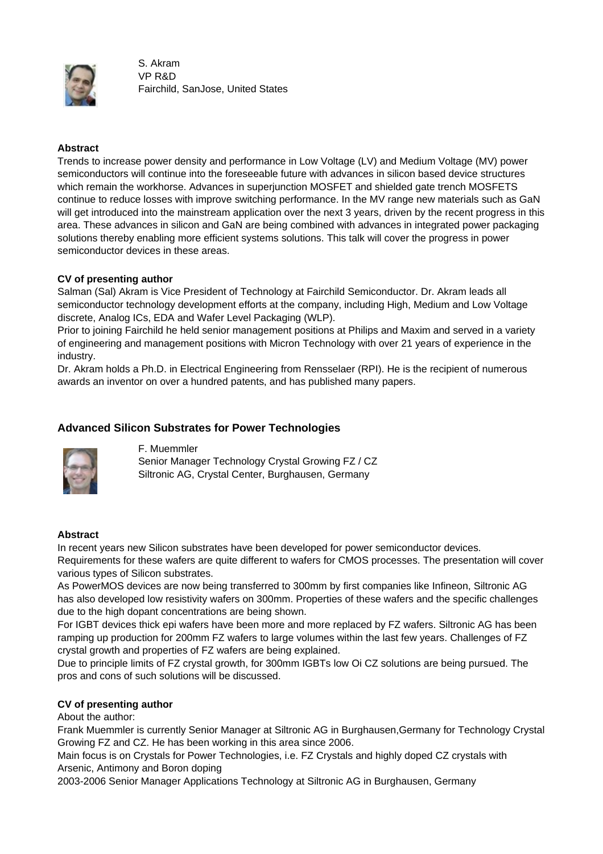

S. Akram VP R&D Fairchild, SanJose, United States

# **Abstract**

Trends to increase power density and performance in Low Voltage (LV) and Medium Voltage (MV) power semiconductors will continue into the foreseeable future with advances in silicon based device structures which remain the workhorse. Advances in superjunction MOSFET and shielded gate trench MOSFETS continue to reduce losses with improve switching performance. In the MV range new materials such as GaN will get introduced into the mainstream application over the next 3 years, driven by the recent progress in this area. These advances in silicon and GaN are being combined with advances in integrated power packaging solutions thereby enabling more efficient systems solutions. This talk will cover the progress in power semiconductor devices in these areas.

# **CV of presenting author**

Salman (Sal) Akram is Vice President of Technology at Fairchild Semiconductor. Dr. Akram leads all semiconductor technology development efforts at the company, including High, Medium and Low Voltage discrete, Analog ICs, EDA and Wafer Level Packaging (WLP).

Prior to joining Fairchild he held senior management positions at Philips and Maxim and served in a variety of engineering and management positions with Micron Technology with over 21 years of experience in the industry.

Dr. Akram holds a Ph.D. in Electrical Engineering from Rensselaer (RPI). He is the recipient of numerous awards an inventor on over a hundred patents, and has published many papers.

# **Advanced Silicon Substrates for Power Technologies**



F. Muemmler Senior Manager Technology Crystal Growing FZ / CZ Siltronic AG, Crystal Center, Burghausen, Germany

## **Abstract**

In recent years new Silicon substrates have been developed for power semiconductor devices. Requirements for these wafers are quite different to wafers for CMOS processes. The presentation will cover various types of Silicon substrates.

As PowerMOS devices are now being transferred to 300mm by first companies like Infineon, Siltronic AG has also developed low resistivity wafers on 300mm. Properties of these wafers and the specific challenges due to the high dopant concentrations are being shown.

For IGBT devices thick epi wafers have been more and more replaced by FZ wafers. Siltronic AG has been ramping up production for 200mm FZ wafers to large volumes within the last few years. Challenges of FZ crystal growth and properties of FZ wafers are being explained.

Due to principle limits of FZ crystal growth, for 300mm IGBTs low Oi CZ solutions are being pursued. The pros and cons of such solutions will be discussed.

# **CV of presenting author**

About the author:

Frank Muemmler is currently Senior Manager at Siltronic AG in Burghausen,Germany for Technology Crystal Growing FZ and CZ. He has been working in this area since 2006.

Main focus is on Crystals for Power Technologies, i.e. FZ Crystals and highly doped CZ crystals with Arsenic, Antimony and Boron doping

2003-2006 Senior Manager Applications Technology at Siltronic AG in Burghausen, Germany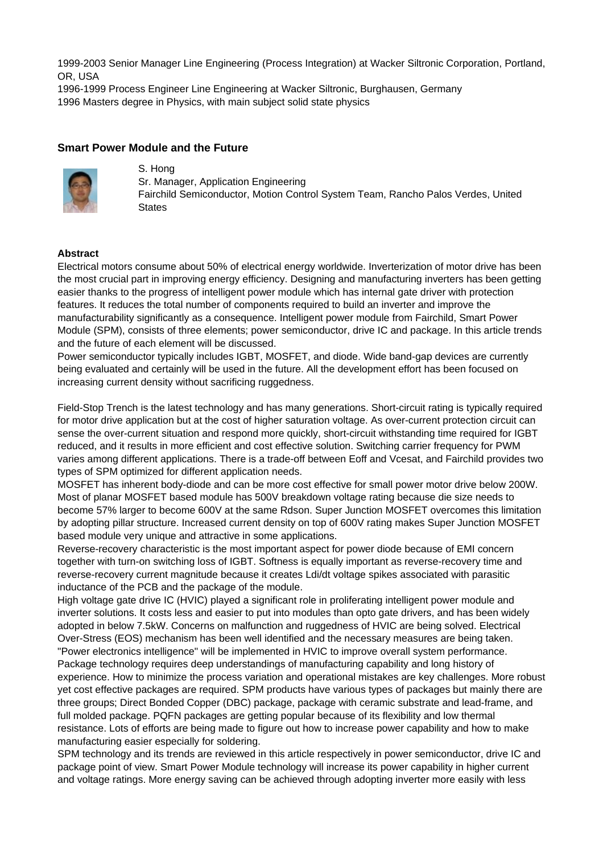1999-2003 Senior Manager Line Engineering (Process Integration) at Wacker Siltronic Corporation, Portland, OR, USA

1996-1999 Process Engineer Line Engineering at Wacker Siltronic, Burghausen, Germany 1996 Masters degree in Physics, with main subject solid state physics

## **Smart Power Module and the Future**



S. Hong Sr. Manager, Application Engineering Fairchild Semiconductor, Motion Control System Team, Rancho Palos Verdes, United **States** 

#### **Abstract**

Electrical motors consume about 50% of electrical energy worldwide. Inverterization of motor drive has been the most crucial part in improving energy efficiency. Designing and manufacturing inverters has been getting easier thanks to the progress of intelligent power module which has internal gate driver with protection features. It reduces the total number of components required to build an inverter and improve the manufacturability significantly as a consequence. Intelligent power module from Fairchild, Smart Power Module (SPM), consists of three elements; power semiconductor, drive IC and package. In this article trends and the future of each element will be discussed.

Power semiconductor typically includes IGBT, MOSFET, and diode. Wide band-gap devices are currently being evaluated and certainly will be used in the future. All the development effort has been focused on increasing current density without sacrificing ruggedness.

Field-Stop Trench is the latest technology and has many generations. Short-circuit rating is typically required for motor drive application but at the cost of higher saturation voltage. As over-current protection circuit can sense the over-current situation and respond more quickly, short-circuit withstanding time required for IGBT reduced, and it results in more efficient and cost effective solution. Switching carrier frequency for PWM varies among different applications. There is a trade-off between Eoff and Vcesat, and Fairchild provides two types of SPM optimized for different application needs.

MOSFET has inherent body-diode and can be more cost effective for small power motor drive below 200W. Most of planar MOSFET based module has 500V breakdown voltage rating because die size needs to become 57% larger to become 600V at the same Rdson. Super Junction MOSFET overcomes this limitation by adopting pillar structure. Increased current density on top of 600V rating makes Super Junction MOSFET based module very unique and attractive in some applications.

Reverse-recovery characteristic is the most important aspect for power diode because of EMI concern together with turn-on switching loss of IGBT. Softness is equally important as reverse-recovery time and reverse-recovery current magnitude because it creates Ldi/dt voltage spikes associated with parasitic inductance of the PCB and the package of the module.

High voltage gate drive IC (HVIC) played a significant role in proliferating intelligent power module and inverter solutions. It costs less and easier to put into modules than opto gate drivers, and has been widely adopted in below 7.5kW. Concerns on malfunction and ruggedness of HVIC are being solved. Electrical Over-Stress (EOS) mechanism has been well identified and the necessary measures are being taken. "Power electronics intelligence" will be implemented in HVIC to improve overall system performance. Package technology requires deep understandings of manufacturing capability and long history of experience. How to minimize the process variation and operational mistakes are key challenges. More robust yet cost effective packages are required. SPM products have various types of packages but mainly there are three groups; Direct Bonded Copper (DBC) package, package with ceramic substrate and lead-frame, and full molded package. PQFN packages are getting popular because of its flexibility and low thermal resistance. Lots of efforts are being made to figure out how to increase power capability and how to make manufacturing easier especially for soldering.

SPM technology and its trends are reviewed in this article respectively in power semiconductor, drive IC and package point of view. Smart Power Module technology will increase its power capability in higher current and voltage ratings. More energy saving can be achieved through adopting inverter more easily with less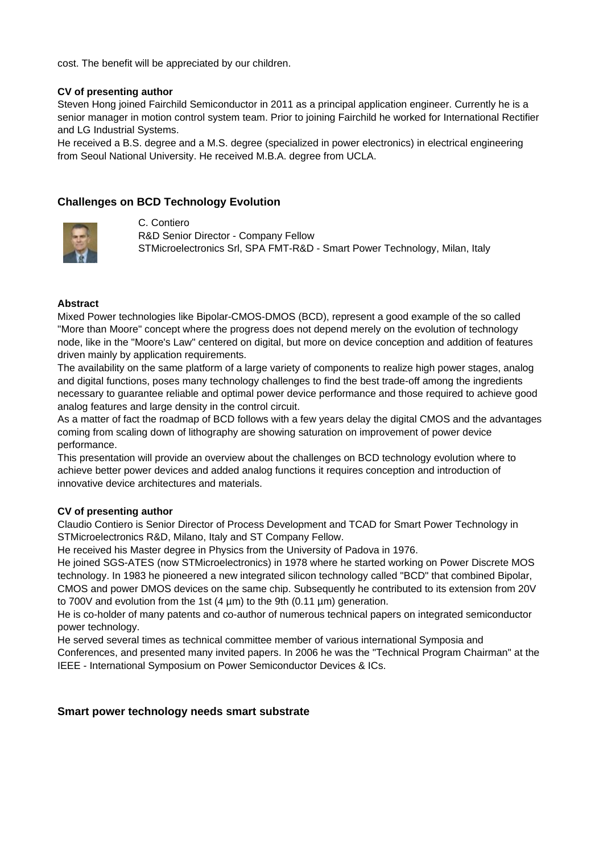cost. The benefit will be appreciated by our children.

## **CV of presenting author**

Steven Hong joined Fairchild Semiconductor in 2011 as a principal application engineer. Currently he is a senior manager in motion control system team. Prior to joining Fairchild he worked for International Rectifier and LG Industrial Systems.

He received a B.S. degree and a M.S. degree (specialized in power electronics) in electrical engineering from Seoul National University. He received M.B.A. degree from UCLA.

## **Challenges on BCD Technology Evolution**



C. Contiero R&D Senior Director - Company Fellow STMicroelectronics Srl, SPA FMT-R&D - Smart Power Technology, Milan, Italy

#### **Abstract**

Mixed Power technologies like Bipolar-CMOS-DMOS (BCD), represent a good example of the so called "More than Moore" concept where the progress does not depend merely on the evolution of technology node, like in the "Moore's Law" centered on digital, but more on device conception and addition of features driven mainly by application requirements.

The availability on the same platform of a large variety of components to realize high power stages, analog and digital functions, poses many technology challenges to find the best trade-off among the ingredients necessary to guarantee reliable and optimal power device performance and those required to achieve good analog features and large density in the control circuit.

As a matter of fact the roadmap of BCD follows with a few years delay the digital CMOS and the advantages coming from scaling down of lithography are showing saturation on improvement of power device performance.

This presentation will provide an overview about the challenges on BCD technology evolution where to achieve better power devices and added analog functions it requires conception and introduction of innovative device architectures and materials.

#### **CV of presenting author**

Claudio Contiero is Senior Director of Process Development and TCAD for Smart Power Technology in STMicroelectronics R&D, Milano, Italy and ST Company Fellow.

He received his Master degree in Physics from the University of Padova in 1976.

He joined SGS-ATES (now STMicroelectronics) in 1978 where he started working on Power Discrete MOS technology. In 1983 he pioneered a new integrated silicon technology called "BCD" that combined Bipolar, CMOS and power DMOS devices on the same chip. Subsequently he contributed to its extension from 20V to 700V and evolution from the 1st  $(4 \mu m)$  to the 9th  $(0.11 \mu m)$  generation.

He is co-holder of many patents and co-author of numerous technical papers on integrated semiconductor power technology.

He served several times as technical committee member of various international Symposia and Conferences, and presented many invited papers. In 2006 he was the "Technical Program Chairman" at the IEEE - International Symposium on Power Semiconductor Devices & ICs.

#### **Smart power technology needs smart substrate**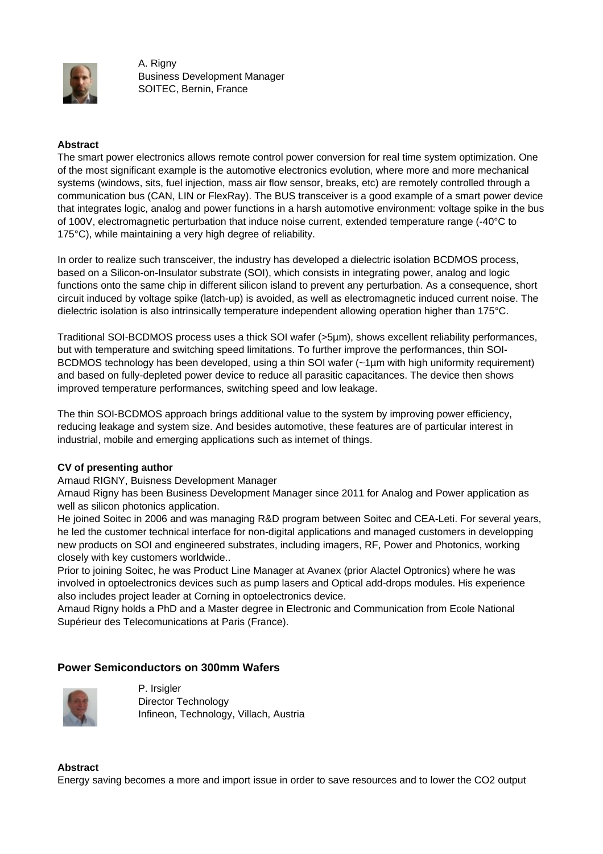

A. Rigny Business Development Manager SOITEC, Bernin, France

## **Abstract**

The smart power electronics allows remote control power conversion for real time system optimization. One of the most significant example is the automotive electronics evolution, where more and more mechanical systems (windows, sits, fuel injection, mass air flow sensor, breaks, etc) are remotely controlled through a communication bus (CAN, LIN or FlexRay). The BUS transceiver is a good example of a smart power device that integrates logic, analog and power functions in a harsh automotive environment: voltage spike in the bus of 100V, electromagnetic perturbation that induce noise current, extended temperature range (-40°C to 175°C), while maintaining a very high degree of reliability.

In order to realize such transceiver, the industry has developed a dielectric isolation BCDMOS process, based on a Silicon-on-Insulator substrate (SOI), which consists in integrating power, analog and logic functions onto the same chip in different silicon island to prevent any perturbation. As a consequence, short circuit induced by voltage spike (latch-up) is avoided, as well as electromagnetic induced current noise. The dielectric isolation is also intrinsically temperature independent allowing operation higher than 175°C.

Traditional SOI-BCDMOS process uses a thick SOI wafer (>5µm), shows excellent reliability performances, but with temperature and switching speed limitations. To further improve the performances, thin SOI-BCDMOS technology has been developed, using a thin SOI wafer (~1µm with high uniformity requirement) and based on fully-depleted power device to reduce all parasitic capacitances. The device then shows improved temperature performances, switching speed and low leakage.

The thin SOI-BCDMOS approach brings additional value to the system by improving power efficiency, reducing leakage and system size. And besides automotive, these features are of particular interest in industrial, mobile and emerging applications such as internet of things.

## **CV of presenting author**

Arnaud RIGNY, Buisness Development Manager

Arnaud Rigny has been Business Development Manager since 2011 for Analog and Power application as well as silicon photonics application.

He joined Soitec in 2006 and was managing R&D program between Soitec and CEA-Leti. For several years, he led the customer technical interface for non-digital applications and managed customers in developping new products on SOI and engineered substrates, including imagers, RF, Power and Photonics, working closely with key customers worldwide..

Prior to joining Soitec, he was Product Line Manager at Avanex (prior Alactel Optronics) where he was involved in optoelectronics devices such as pump lasers and Optical add-drops modules. His experience also includes project leader at Corning in optoelectronics device.

Arnaud Rigny holds a PhD and a Master degree in Electronic and Communication from Ecole National Supérieur des Telecomunications at Paris (France).

# **Power Semiconductors on 300mm Wafers**



P. Irsigler Director Technology Infineon, Technology, Villach, Austria

#### **Abstract**

Energy saving becomes a more and import issue in order to save resources and to lower the CO2 output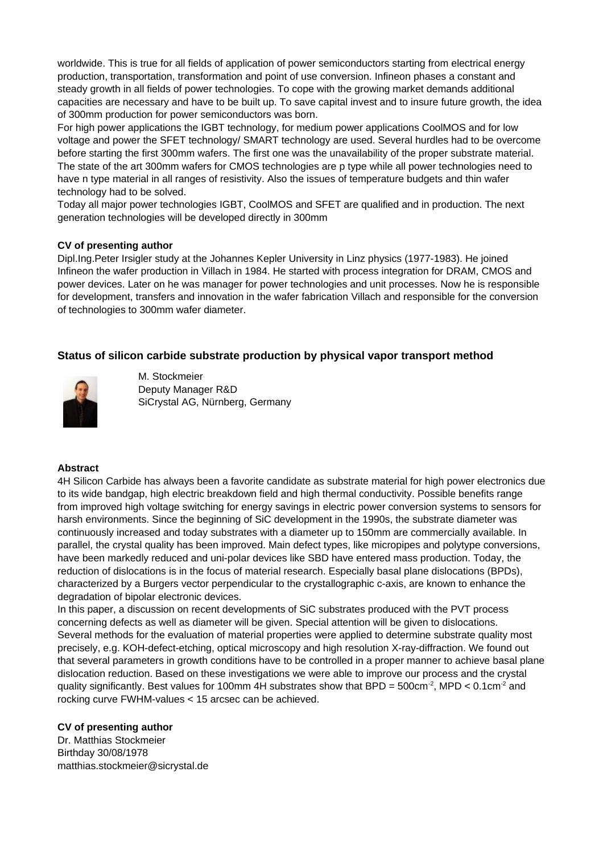worldwide. This is true for all fields of application of power semiconductors starting from electrical energy production, transportation, transformation and point of use conversion. Infineon phases a constant and steady growth in all fields of power technologies. To cope with the growing market demands additional capacities are necessary and have to be built up. To save capital invest and to insure future growth, the idea of 300mm production for power semiconductors was born.

For high power applications the IGBT technology, for medium power applications CoolMOS and for low voltage and power the SFET technology/ SMART technology are used. Several hurdles had to be overcome before starting the first 300mm wafers. The first one was the unavailability of the proper substrate material. The state of the art 300mm wafers for CMOS technologies are p type while all power technologies need to have n type material in all ranges of resistivity. Also the issues of temperature budgets and thin wafer technology had to be solved.

Today all major power technologies IGBT, CoolMOS and SFET are qualified and in production. The next generation technologies will be developed directly in 300mm

#### **CV of presenting author**

Dipl.Ing.Peter Irsigler study at the Johannes Kepler University in Linz physics (1977-1983). He joined Infineon the wafer production in Villach in 1984. He started with process integration for DRAM, CMOS and power devices. Later on he was manager for power technologies and unit processes. Now he is responsible for development, transfers and innovation in the wafer fabrication Villach and responsible for the conversion of technologies to 300mm wafer diameter.

# **Status of silicon carbide substrate production by physical vapor transport method**



M. Stockmeier Deputy Manager R&D SiCrystal AG, Nürnberg, Germany

#### **Abstract**

4H Silicon Carbide has always been a favorite candidate as substrate material for high power electronics due to its wide bandgap, high electric breakdown field and high thermal conductivity. Possible benefits range from improved high voltage switching for energy savings in electric power conversion systems to sensors for harsh environments. Since the beginning of SiC development in the 1990s, the substrate diameter was continuously increased and today substrates with a diameter up to 150mm are commercially available. In parallel, the crystal quality has been improved. Main defect types, like micropipes and polytype conversions, have been markedly reduced and uni-polar devices like SBD have entered mass production. Today, the reduction of dislocations is in the focus of material research. Especially basal plane dislocations (BPDs), characterized by a Burgers vector perpendicular to the crystallographic c-axis, are known to enhance the degradation of bipolar electronic devices.

In this paper, a discussion on recent developments of SiC substrates produced with the PVT process concerning defects as well as diameter will be given. Special attention will be given to dislocations. Several methods for the evaluation of material properties were applied to determine substrate quality most precisely, e.g. KOH-defect-etching, optical microscopy and high resolution X-ray-diffraction. We found out that several parameters in growth conditions have to be controlled in a proper manner to achieve basal plane dislocation reduction. Based on these investigations we were able to improve our process and the crystal quality significantly. Best values for 100mm 4H substrates show that BPD =  $500 \text{cm}^2$ , MPD <  $0.1 \text{cm}^2$  and rocking curve FWHM-values < 15 arcsec can be achieved.

## **CV of presenting author**

Dr. Matthias Stockmeier Birthday 30/08/1978 matthias.stockmeier@sicrystal.de